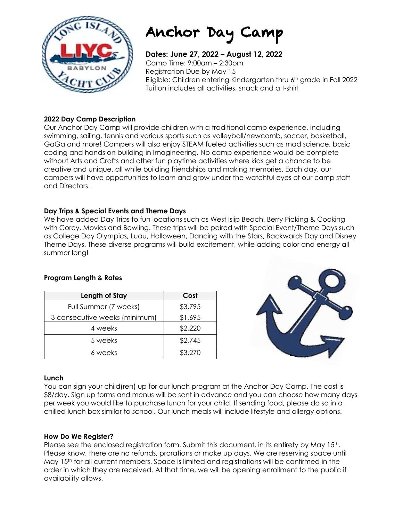

# Anchor Day Camp

**Dates: June 27, 2022 – August 12, 2022** Camp Time: 9:00am – 2:30pm Registration Due by May 15 Eligible: Children entering Kindergarten thru 6th grade in Fall 2022 Tuition includes all activities, snack and a t-shirt

#### **2022 Day Camp Description**

Our Anchor Day Camp will provide children with a traditional camp experience, including swimming, sailing, tennis and various sports such as volleyball/newcomb, soccer, basketball, GaGa and more! Campers will also enjoy STEAM fueled activities such as mad science, basic coding and hands on building in Imagineering. No camp experience would be complete without Arts and Crafts and other fun playtime activities where kids get a chance to be creative and unique, all while building friendships and making memories. Each day, our campers will have opportunities to learn and grow under the watchful eyes of our camp staff and Directors.

#### **Day Trips & Special Events and Theme Days**

We have added Day Trips to fun locations such as West Islip Beach, Berry Picking & Cooking with Corey, Movies and Bowling. These trips will be paired with Special Event/Theme Days such as College Day Olympics, Luau, Halloween, Dancing with the Stars, Backwards Day and Disney Theme Days. These diverse programs will build excitement, while adding color and energy all summer long!

#### **Program Length & Rates**

| Length of Stay                | Cost    |
|-------------------------------|---------|
| Full Summer (7 weeks)         | \$3,795 |
| 3 consecutive weeks (minimum) | \$1,695 |
| 4 weeks                       | \$2,220 |
| 5 weeks                       | \$2,745 |
| 6 weeks                       | \$3,270 |



#### **Lunch**

You can sign your child(ren) up for our lunch program at the Anchor Day Camp. The cost is \$8/day. Sign up forms and menus will be sent in advance and you can choose how many days per week you would like to purchase lunch for your child. If sending food, please do so in a chilled lunch box similar to school. Our lunch meals will include lifestyle and allergy options.

#### **How Do We Register?**

Please see the enclosed registration form. Submit this document, in its entirety by May 15<sup>th</sup>. Please know, there are no refunds, prorations or make up days. We are reserving space until May 15<sup>th</sup> for all current members. Space is limited and registrations will be confirmed in the order in which they are received. At that time, we will be opening enrollment to the public if availability allows.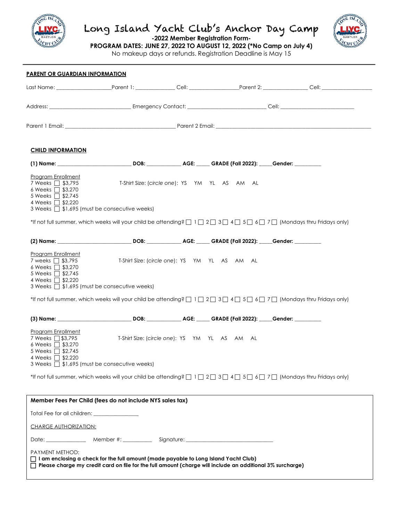

## Long Island Yacht Club's Anchor Day Camp



**-2022 Member Registration Form-**

**PROGRAM DATES: JUNE 27, 2022 TO AUGUST 12, 2022 (\*No Camp on July 4)** No makeup days or refunds. Registration Deadline is May 15

 $\overline{a}$ **PARENT OR GUARDIAN INFORMATION** Last Name: \_\_\_\_\_\_\_\_\_\_\_\_\_\_\_\_\_\_\_\_\_Parent 1: \_\_\_\_\_\_\_\_\_\_\_\_\_\_\_ Cell: \_\_\_\_\_\_\_\_\_\_\_\_\_\_\_\_\_\_\_Parent 2: \_\_\_\_\_\_\_\_\_\_\_\_\_\_\_\_\_ Cell: \_\_\_\_\_\_\_\_\_\_\_\_\_\_\_\_\_\_\_ Address: \_\_\_\_\_\_\_\_\_\_\_\_\_\_\_\_\_\_\_\_\_\_\_\_\_\_\_\_\_\_\_ Emergency Contact: \_\_\_\_\_\_\_\_\_\_\_\_\_\_\_\_\_\_\_\_\_\_\_\_\_\_\_\_\_\_ Cell: \_\_\_\_\_\_\_\_\_\_\_\_\_\_\_\_\_\_\_\_\_\_\_\_\_\_\_\_ Parent 1 Email: \_\_\_\_\_\_\_\_\_\_\_\_\_\_\_\_\_\_\_\_\_\_\_\_\_\_\_\_\_\_\_\_\_\_\_\_\_\_\_\_\_\_ Parent 2 Email: \_\_\_\_\_\_\_\_\_\_\_\_\_\_\_\_\_\_\_\_\_\_\_\_\_\_\_\_\_\_\_\_\_\_\_\_\_\_\_\_\_\_\_\_\_\_\_\_\_\_\_\_\_\_\_\_\_\_\_ **CHILD INFORMATION (1) Name: \_\_\_\_\_\_\_\_\_\_\_\_\_\_\_\_\_\_\_\_\_\_\_\_\_\_\_\_ DOB: \_\_\_\_\_\_\_\_\_\_\_\_\_ AGE: \_\_\_\_\_ GRADE (Fall 2022): \_\_\_\_\_Gender: \_\_\_\_\_\_\_\_\_\_**  Program Enrollment 7 Weeks c \$3,795 T-Shirt Size: (*circle one*): YS YM YL AS AM AL 6 Weeks  $\Box$  \$3,270  $5$  Weeks  $\Box$  \$2,745 4 Weeks 2\$2,220 3 Weeks  $\Box$  \$1,695 (must be consecutive weeks) \*If not full summer, which weeks will your child be attending?  $\Box$  1  $\Box$  2  $\Box$  3  $\Box$  4  $\Box$  5  $\Box$  6  $\Box$  7  $\Box$  (Mondays thru Fridays only) **(2) Name: \_\_\_\_\_\_\_\_\_\_\_\_\_\_\_\_\_\_\_\_\_\_\_\_\_\_\_\_ DOB: \_\_\_\_\_\_\_\_\_\_\_\_\_ AGE: \_\_\_\_\_ GRADE (Fall 2022): \_\_\_\_\_Gender: \_\_\_\_\_\_\_\_\_\_**  Program Enrollment 7 weeks 1 \$3,795 T-Shirt Size: (circle one): YS YM YL AS AM AL 6 Weeks  $\overline{\Box}$  \$3,270 5 Weeks  $\overline{\Box}$  \$2,745 4 Weeks **1** \$2,220 3 Weeks  $\Box$  \$1,695 (must be consecutive weeks) \*If not full summer, which weeks will your child be attending?  $\Box$  1  $\Box$  2  $\Box$  3  $\Box$  4  $\Box$  5  $\Box$  6  $\Box$  7  $\Box$  (Mondays thru Fridays only) **(3) Name: \_\_\_\_\_\_\_\_\_\_\_\_\_\_\_\_\_\_\_\_\_\_\_\_\_\_\_\_ DOB: \_\_\_\_\_\_\_\_\_\_\_\_\_ AGE: \_\_\_\_\_ GRADE (Fall 2022): \_\_\_\_\_Gender: \_\_\_\_\_\_\_\_\_\_**  Program Enrollment 7 Weeks 1\$3,795 T-Shirt Size: (circle one): YS YM YL AS AM AL 6 Weeks  $\Box$  \$3,270 5 Weeks  $\overline{\Box}$  \$2,745 4 Weeks  $\overline{\square}$  \$2,220  $3$  Weeks  $\overline{\Box}$  \$1,695 (must be consecutive weeks) \*If not full summer, which weeks will your child be attending?  $\Box$  1  $\Box$  2  $\Box$  3  $\Box$  4  $\Box$  5  $\Box$  6  $\Box$  7  $\Box$  (Mondays thru Fridays only) **Member Fees Per Child (fees do not include NYS sales tax)** Total Fee for all children: \_ CHARGE AUTHORIZATION: Date: \_\_\_\_\_\_\_\_\_\_\_\_\_\_\_\_\_\_\_ Member #: \_\_\_\_\_\_\_\_\_\_\_\_\_\_\_\_ Signature: PAYMENT METHOD: c **I am enclosing a check for the full amount (made payable to Long Island Yacht Club)** c **Please charge my credit card on file for the full amount (charge will include an additional 3% surcharge)**